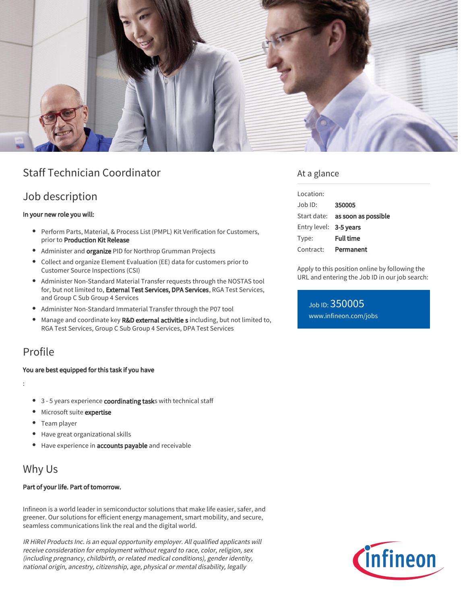

# Staff Technician Coordinator

## Job description

#### In your new role you will:

- Perform Parts, Material, & Process List (PMPL) Kit Verification for Customers, prior to Production Kit Release
- Administer and organize PID for Northrop Grumman Projects
- Collect and organize Element Evaluation (EE) data for customers prior to Customer Source Inspections (CSI)
- Administer Non-Standard Material Transfer requests through the NOSTAS tool for, but not limited to, External Test Services, DPA Services, RGA Test Services, and Group C Sub Group 4 Services
- Administer Non-Standard Immaterial Transfer through the P07 tool
- $\bullet$ Manage and coordinate key R&D external activitie s including, but not limited to, RGA Test Services, Group C Sub Group 4 Services, DPA Test Services

## Profile

#### You are best equipped for this task if you have

:

- 3 5 years experience coordinating tasks with technical staff
- Microsoft suite expertise
- Team player
- Have great organizational skills
- Have experience in accounts payable and receivable

# Why Us

#### Part of your life. Part of tomorrow.

Infineon is a world leader in semiconductor solutions that make life easier, safer, and greener. Our solutions for efficient energy management, smart mobility, and secure, seamless communications link the real and the digital world.

IR HiRel Products Inc. is an equal opportunity employer. All qualified applicants will receive consideration for employment without regard to race, color, religion, sex (including pregnancy, childbirth, or related medical conditions), gender identity, national origin, ancestry, citizenship, age, physical or mental disability, legally

### At a glance

| Location:              |                                        |
|------------------------|----------------------------------------|
| Job ID:                | 350005                                 |
|                        | Start date: <b>as soon as possible</b> |
| Entry level: 3-5 years |                                        |
| Type:                  | Full time                              |
| Contract:              | Permanent                              |

Apply to this position online by following the URL and entering the Job ID in our job search:

Job ID: 350005 [www.infineon.com/jobs](https://www.infineon.com/jobs)